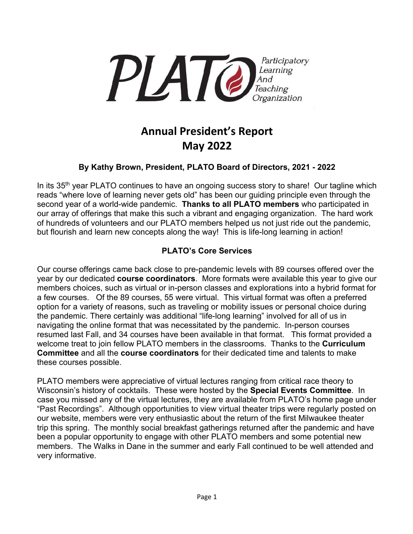

# **Annual President's Report May 2022**

## **By Kathy Brown, President, PLATO Board of Directors, 2021 - 2022**

In its 35<sup>th</sup> year PLATO continues to have an ongoing success story to share! Our tagline which reads "where love of learning never gets old" has been our guiding principle even through the second year of a world-wide pandemic. **Thanks to all PLATO members** who participated in our array of offerings that make this such a vibrant and engaging organization. The hard work of hundreds of volunteers and our PLATO members helped us not just ride out the pandemic, but flourish and learn new concepts along the way! This is life-long learning in action!

## **PLATO's Core Services**

Our course offerings came back close to pre-pandemic levels with 89 courses offered over the year by our dedicated **course coordinators**. More formats were available this year to give our members choices, such as virtual or in-person classes and explorations into a hybrid format for a few courses. Of the 89 courses, 55 were virtual. This virtual format was often a preferred option for a variety of reasons, such as traveling or mobility issues or personal choice during the pandemic. There certainly was additional "life-long learning" involved for all of us in navigating the online format that was necessitated by the pandemic. In-person courses resumed last Fall, and 34 courses have been available in that format. This format provided a welcome treat to join fellow PLATO members in the classrooms. Thanks to the **Curriculum Committee** and all the **course coordinators** for their dedicated time and talents to make these courses possible.

PLATO members were appreciative of virtual lectures ranging from critical race theory to Wisconsin's history of cocktails. These were hosted by the **Special Events Committee**. In case you missed any of the virtual lectures, they are available from PLATO's home page under "Past Recordings". Although opportunities to view virtual theater trips were regularly posted on our website, members were very enthusiastic about the return of the first Milwaukee theater trip this spring. The monthly social breakfast gatherings returned after the pandemic and have been a popular opportunity to engage with other PLATO members and some potential new members. The Walks in Dane in the summer and early Fall continued to be well attended and very informative.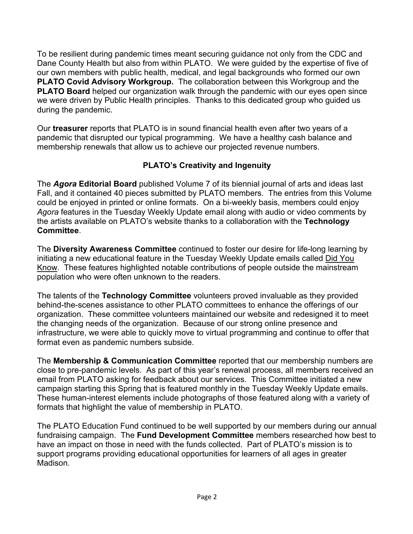To be resilient during pandemic times meant securing guidance not only from the CDC and Dane County Health but also from within PLATO. We were guided by the expertise of five of our own members with public health, medical, and legal backgrounds who formed our own **PLATO Covid Advisory Workgroup.** The collaboration between this Workgroup and the **PLATO Board** helped our organization walk through the pandemic with our eyes open since we were driven by Public Health principles. Thanks to this dedicated group who guided us during the pandemic.

Our **treasurer** reports that PLATO is in sound financial health even after two years of a pandemic that disrupted our typical programming. We have a healthy cash balance and membership renewals that allow us to achieve our projected revenue numbers.

# **PLATO's Creativity and Ingenuity**

The *Agora* **Editorial Board** published Volume 7 of its biennial journal of arts and ideas last Fall, and it contained 40 pieces submitted by PLATO members. The entries from this Volume could be enjoyed in printed or online formats. On a bi-weekly basis, members could enjoy *Agora* features in the Tuesday Weekly Update email along with audio or video comments by the artists available on PLATO's website thanks to a collaboration with the **Technology Committee**.

The **Diversity Awareness Committee** continued to foster our desire for life-long learning by initiating a new educational feature in the Tuesday Weekly Update emails called Did You Know. These features highlighted notable contributions of people outside the mainstream population who were often unknown to the readers.

The talents of the **Technology Committee** volunteers proved invaluable as they provided behind-the-scenes assistance to other PLATO committees to enhance the offerings of our organization. These committee volunteers maintained our website and redesigned it to meet the changing needs of the organization. Because of our strong online presence and infrastructure, we were able to quickly move to virtual programming and continue to offer that format even as pandemic numbers subside.

The **Membership & Communication Committee** reported that our membership numbers are close to pre-pandemic levels. As part of this year's renewal process, all members received an email from PLATO asking for feedback about our services. This Committee initiated a new campaign starting this Spring that is featured monthly in the Tuesday Weekly Update emails. These human-interest elements include photographs of those featured along with a variety of formats that highlight the value of membership in PLATO.

The PLATO Education Fund continued to be well supported by our members during our annual fundraising campaign. The **Fund Development Committee** members researched how best to have an impact on those in need with the funds collected. Part of PLATO's mission is to support programs providing educational opportunities for learners of all ages in greater Madison.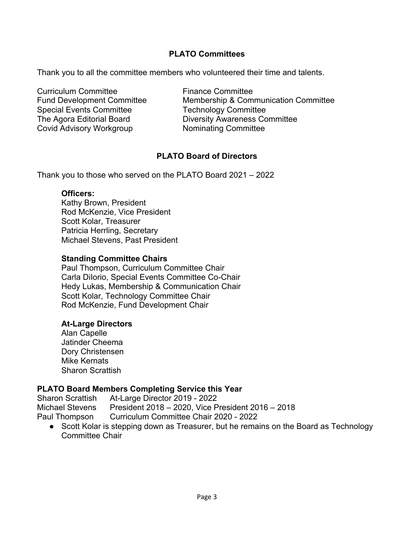### **PLATO Committees**

Thank you to all the committee members who volunteered their time and talents.

Curriculum Committee **Finance Committee** Special Events Committee Technology Committee Covid Advisory Workgroup Nominating Committee

Fund Development Committee Membership & Communication Committee The Agora Editorial Board Diversity Awareness Committee

## **PLATO Board of Directors**

Thank you to those who served on the PLATO Board 2021 – 2022

#### **Officers:**

Kathy Brown, President Rod McKenzie, Vice President Scott Kolar, Treasurer Patricia Herrling, Secretary Michael Stevens, Past President

#### **Standing Committee Chairs**

Paul Thompson, Curriculum Committee Chair Carla DiIorio, Special Events Committee Co-Chair Hedy Lukas, Membership & Communication Chair Scott Kolar, Technology Committee Chair Rod McKenzie, Fund Development Chair

#### **At-Large Directors**

Alan Capelle Jatinder Cheema Dory Christensen Mike Kernats Sharon Scrattish

#### **PLATO Board Members Completing Service this Year**

Sharon Scrattish At-Large Director 2019 - 2022 Michael Stevens President 2018 – 2020, Vice President 2016 – 2018 Paul Thompson Curriculum Committee Chair 2020 - 2022

• Scott Kolar is stepping down as Treasurer, but he remains on the Board as Technology Committee Chair